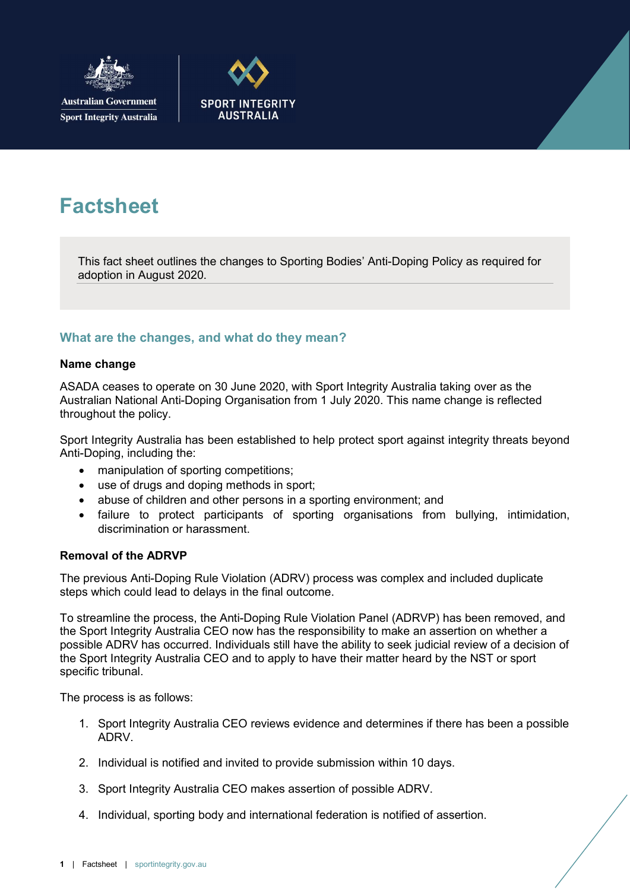

**Australian Government Sport Integrity Australia** 



# **Factsheet**

This fact sheet outlines the changes to Sporting Bodies' Anti-Doping Policy as required for adoption in August 2020.

# What are the changes, and what do they mean?

#### Name change

ASADA ceases to operate on 30 June 2020, with Sport Integrity Australia taking over as the Australian National Anti-Doping Organisation from 1 July 2020. This name change is reflected throughout the policy.

Sport Integrity Australia has been established to help protect sport against integrity threats beyond Anti-Doping, including the:

- manipulation of sporting competitions;
- use of drugs and doping methods in sport;
- abuse of children and other persons in a sporting environment; and
- failure to protect participants of sporting organisations from bullying, intimidation, discrimination or harassment.

## Removal of the ADRVP

The previous Anti-Doping Rule Violation (ADRV) process was complex and included duplicate steps which could lead to delays in the final outcome.

To streamline the process, the Anti-Doping Rule Violation Panel (ADRVP) has been removed, and the Sport Integrity Australia CEO now has the responsibility to make an assertion on whether a possible ADRV has occurred. Individuals still have the ability to seek judicial review of a decision of the Sport Integrity Australia CEO and to apply to have their matter heard by the NST or sport specific tribunal.

The process is as follows:

- 1. Sport Integrity Australia CEO reviews evidence and determines if there has been a possible ADRV.
- 2. Individual is notified and invited to provide submission within 10 days.
- 3. Sport Integrity Australia CEO makes assertion of possible ADRV.
- 4. Individual, sporting body and international federation is notified of assertion.